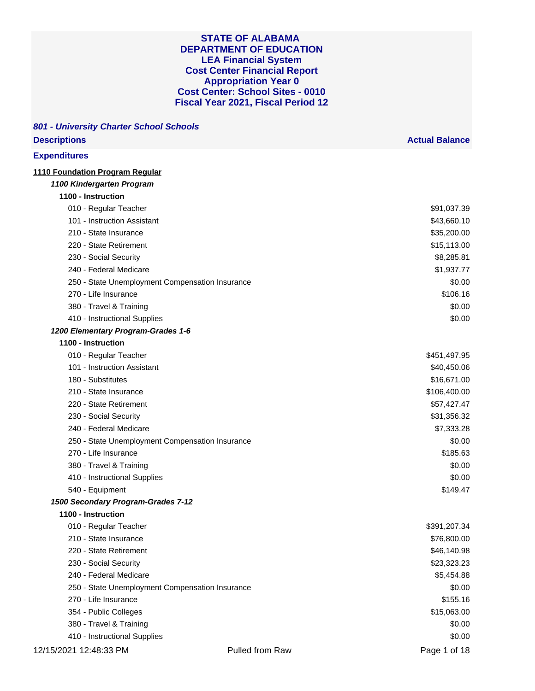| <b>Descriptions</b>                             | <b>Actual Balance</b> |
|-------------------------------------------------|-----------------------|
| <b>Expenditures</b>                             |                       |
| 1110 Foundation Program Regular                 |                       |
| 1100 Kindergarten Program                       |                       |
| 1100 - Instruction                              |                       |
| 010 - Regular Teacher                           | \$91,037.39           |
| 101 - Instruction Assistant                     | \$43,660.10           |
| 210 - State Insurance                           | \$35,200.00           |
| 220 - State Retirement                          | \$15,113.00           |
| 230 - Social Security                           | \$8,285.81            |
| 240 - Federal Medicare                          | \$1,937.77            |
| 250 - State Unemployment Compensation Insurance | \$0.00                |
| 270 - Life Insurance                            | \$106.16              |
| 380 - Travel & Training                         | \$0.00                |
| 410 - Instructional Supplies                    | \$0.00                |
| 1200 Elementary Program-Grades 1-6              |                       |
| 1100 - Instruction                              |                       |
| 010 - Regular Teacher                           | \$451,497.95          |
| 101 - Instruction Assistant                     | \$40,450.06           |
| 180 - Substitutes                               | \$16,671.00           |
| 210 - State Insurance                           | \$106,400.00          |
| 220 - State Retirement                          | \$57,427.47           |
| 230 - Social Security                           | \$31,356.32           |
| 240 - Federal Medicare                          | \$7,333.28            |
| 250 - State Unemployment Compensation Insurance | \$0.00                |
| 270 - Life Insurance                            | \$185.63              |
| 380 - Travel & Training                         | \$0.00                |
| 410 - Instructional Supplies                    | \$0.00                |
| 540 - Equipment                                 | \$149.47              |
| 1500 Secondary Program-Grades 7-12              |                       |
| 1100 - Instruction                              |                       |
| 010 - Regular Teacher                           | \$391,207.34          |
| 210 - State Insurance                           | \$76,800.00           |
| 220 - State Retirement                          | \$46,140.98           |
| 230 - Social Security                           | \$23,323.23           |
| 240 - Federal Medicare                          | \$5,454.88            |
| 250 - State Unemployment Compensation Insurance | \$0.00                |
| 270 - Life Insurance                            | \$155.16              |
| 354 - Public Colleges                           | \$15,063.00           |
| 380 - Travel & Training                         | \$0.00                |
| 410 - Instructional Supplies                    | \$0.00                |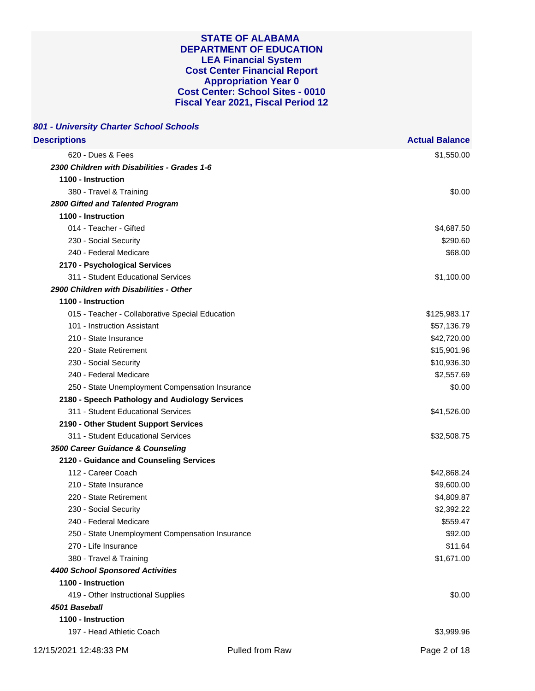| 801 - University Charter School Schools         |                       |
|-------------------------------------------------|-----------------------|
| <b>Descriptions</b>                             | <b>Actual Balance</b> |
| 620 - Dues & Fees                               | \$1,550.00            |
| 2300 Children with Disabilities - Grades 1-6    |                       |
| 1100 - Instruction                              |                       |
| 380 - Travel & Training                         | \$0.00                |
| 2800 Gifted and Talented Program                |                       |
| 1100 - Instruction                              |                       |
| 014 - Teacher - Gifted                          | \$4,687.50            |
| 230 - Social Security                           | \$290.60              |
| 240 - Federal Medicare                          | \$68.00               |
| 2170 - Psychological Services                   |                       |
| 311 - Student Educational Services              | \$1,100.00            |
| 2900 Children with Disabilities - Other         |                       |
| 1100 - Instruction                              |                       |
| 015 - Teacher - Collaborative Special Education | \$125,983.17          |
| 101 - Instruction Assistant                     | \$57,136.79           |
| 210 - State Insurance                           | \$42,720.00           |
| 220 - State Retirement                          | \$15,901.96           |
| 230 - Social Security                           | \$10,936.30           |
| 240 - Federal Medicare                          | \$2,557.69            |
| 250 - State Unemployment Compensation Insurance | \$0.00                |
| 2180 - Speech Pathology and Audiology Services  |                       |
| 311 - Student Educational Services              | \$41,526.00           |
| 2190 - Other Student Support Services           |                       |
| 311 - Student Educational Services              | \$32,508.75           |
| 3500 Career Guidance & Counseling               |                       |
| 2120 - Guidance and Counseling Services         |                       |
| 112 - Career Coach                              | \$42,868.24           |
| 210 - State Insurance                           | \$9,600.00            |
| 220 - State Retirement                          | \$4,809.87            |
| 230 - Social Security                           | \$2,392.22            |
| 240 - Federal Medicare                          | \$559.47              |
| 250 - State Unemployment Compensation Insurance | \$92.00               |
| 270 - Life Insurance                            | \$11.64               |
| 380 - Travel & Training                         | \$1,671.00            |
| <b>4400 School Sponsored Activities</b>         |                       |
| 1100 - Instruction                              |                       |
| 419 - Other Instructional Supplies              | \$0.00                |
| 4501 Baseball                                   |                       |
| 1100 - Instruction                              |                       |
| 197 - Head Athletic Coach                       | \$3,999.96            |
|                                                 |                       |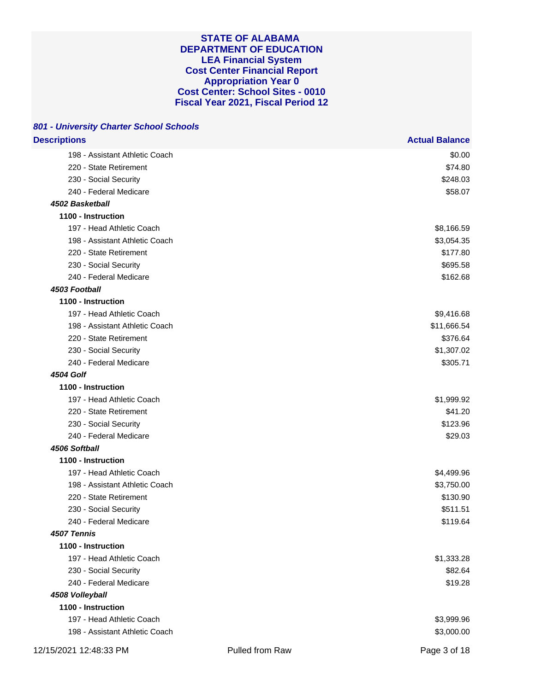| <b>Descriptions</b>            | <b>Actual Balance</b> |
|--------------------------------|-----------------------|
| 198 - Assistant Athletic Coach | \$0.00                |
| 220 - State Retirement         | \$74.80               |
| 230 - Social Security          | \$248.03              |
| 240 - Federal Medicare         | \$58.07               |
| 4502 Basketball                |                       |
| 1100 - Instruction             |                       |
| 197 - Head Athletic Coach      | \$8,166.59            |
| 198 - Assistant Athletic Coach | \$3,054.35            |
| 220 - State Retirement         | \$177.80              |
| 230 - Social Security          | \$695.58              |
| 240 - Federal Medicare         | \$162.68              |
| 4503 Football                  |                       |
| 1100 - Instruction             |                       |
| 197 - Head Athletic Coach      | \$9,416.68            |
| 198 - Assistant Athletic Coach | \$11,666.54           |
| 220 - State Retirement         | \$376.64              |
| 230 - Social Security          | \$1,307.02            |
| 240 - Federal Medicare         | \$305.71              |
| <b>4504 Golf</b>               |                       |
| 1100 - Instruction             |                       |
| 197 - Head Athletic Coach      | \$1,999.92            |
| 220 - State Retirement         | \$41.20               |
| 230 - Social Security          | \$123.96              |
| 240 - Federal Medicare         | \$29.03               |
| 4506 Softball                  |                       |
| 1100 - Instruction             |                       |
| 197 - Head Athletic Coach      | \$4,499.96            |
| 198 - Assistant Athletic Coach | \$3,750.00            |
| 220 - State Retirement         | \$130.90              |
| 230 - Social Security          | \$511.51              |
| 240 - Federal Medicare         | \$119.64              |
| 4507 Tennis                    |                       |
| 1100 - Instruction             |                       |
| 197 - Head Athletic Coach      | \$1,333.28            |
| 230 - Social Security          | \$82.64               |
| 240 - Federal Medicare         | \$19.28               |
| 4508 Volleyball                |                       |
| 1100 - Instruction             |                       |
| 197 - Head Athletic Coach      | \$3,999.96            |
| 198 - Assistant Athletic Coach | \$3,000.00            |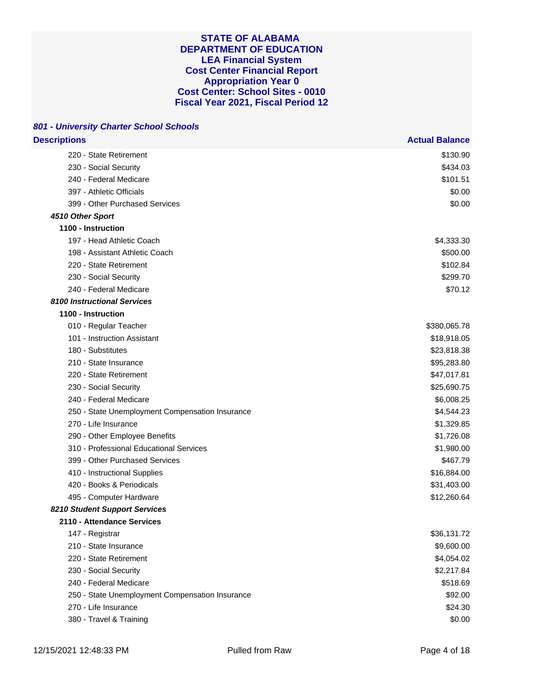| <b>Descriptions</b>                             | <b>Actual Balance</b> |
|-------------------------------------------------|-----------------------|
| 220 - State Retirement                          | \$130.90              |
| 230 - Social Security                           | \$434.03              |
| 240 - Federal Medicare                          | \$101.51              |
| 397 - Athletic Officials                        | \$0.00                |
| 399 - Other Purchased Services                  | \$0.00                |
| 4510 Other Sport                                |                       |
| 1100 - Instruction                              |                       |
| 197 - Head Athletic Coach                       | \$4,333.30            |
| 198 - Assistant Athletic Coach                  | \$500.00              |
| 220 - State Retirement                          | \$102.84              |
| 230 - Social Security                           | \$299.70              |
| 240 - Federal Medicare                          | \$70.12               |
| <b>8100 Instructional Services</b>              |                       |
| 1100 - Instruction                              |                       |
| 010 - Regular Teacher                           | \$380,065.78          |
| 101 - Instruction Assistant                     | \$18,918.05           |
| 180 - Substitutes                               | \$23,818.38           |
| 210 - State Insurance                           | \$95,283.80           |
| 220 - State Retirement                          | \$47,017.81           |
| 230 - Social Security                           | \$25,690.75           |
| 240 - Federal Medicare                          | \$6,008.25            |
| 250 - State Unemployment Compensation Insurance | \$4,544.23            |
| 270 - Life Insurance                            | \$1,329.85            |
| 290 - Other Employee Benefits                   | \$1,726.08            |
| 310 - Professional Educational Services         | \$1,980.00            |
| 399 - Other Purchased Services                  | \$467.79              |
| 410 - Instructional Supplies                    | \$16,884.00           |
| 420 - Books & Periodicals                       | \$31,403.00           |
| 495 - Computer Hardware                         | \$12,260.64           |
| 8210 Student Support Services                   |                       |
| 2110 - Attendance Services                      |                       |
| 147 - Registrar                                 | \$36,131.72           |
| 210 - State Insurance                           | \$9,600.00            |
| 220 - State Retirement                          | \$4,054.02            |
| 230 - Social Security                           | \$2,217.84            |
| 240 - Federal Medicare                          | \$518.69              |
| 250 - State Unemployment Compensation Insurance | \$92.00               |
| 270 - Life Insurance                            | \$24.30               |
| 380 - Travel & Training                         | \$0.00                |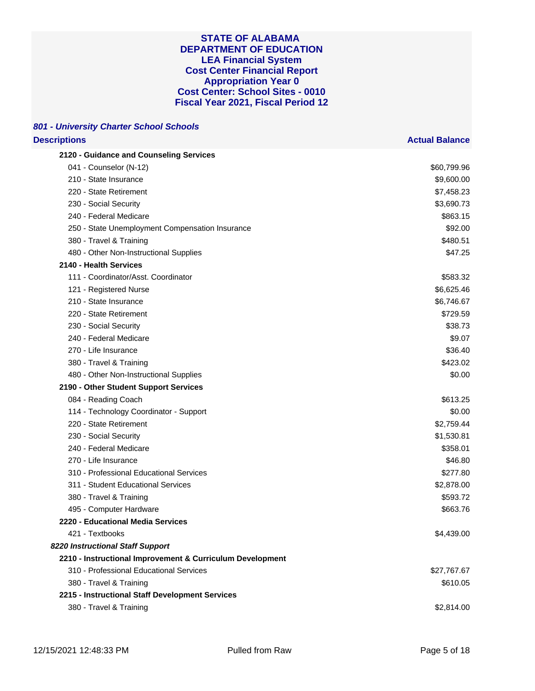## **801 - University Charter School Schools Descriptions Actual Balance**

| 2120 - Guidance and Counseling Services                   |             |
|-----------------------------------------------------------|-------------|
| 041 - Counselor (N-12)                                    | \$60,799.96 |
| 210 - State Insurance                                     | \$9,600.00  |
| 220 - State Retirement                                    | \$7,458.23  |
| 230 - Social Security                                     | \$3,690.73  |
| 240 - Federal Medicare                                    | \$863.15    |
| 250 - State Unemployment Compensation Insurance           | \$92.00     |
| 380 - Travel & Training                                   | \$480.51    |
| 480 - Other Non-Instructional Supplies                    | \$47.25     |
| 2140 - Health Services                                    |             |
| 111 - Coordinator/Asst. Coordinator                       | \$583.32    |
| 121 - Registered Nurse                                    | \$6,625.46  |
| 210 - State Insurance                                     | \$6,746.67  |
| 220 - State Retirement                                    | \$729.59    |
| 230 - Social Security                                     | \$38.73     |
| 240 - Federal Medicare                                    | \$9.07      |
| 270 - Life Insurance                                      | \$36.40     |
| 380 - Travel & Training                                   | \$423.02    |
| 480 - Other Non-Instructional Supplies                    | \$0.00      |
| 2190 - Other Student Support Services                     |             |
| 084 - Reading Coach                                       | \$613.25    |
| 114 - Technology Coordinator - Support                    | \$0.00      |
| 220 - State Retirement                                    | \$2,759.44  |
| 230 - Social Security                                     | \$1,530.81  |
| 240 - Federal Medicare                                    | \$358.01    |
| 270 - Life Insurance                                      | \$46.80     |
| 310 - Professional Educational Services                   | \$277.80    |
| 311 - Student Educational Services                        | \$2,878.00  |
| 380 - Travel & Training                                   | \$593.72    |
| 495 - Computer Hardware                                   | \$663.76    |
| 2220 - Educational Media Services                         |             |
| 421 - Textbooks                                           | \$4,439.00  |
| 8220 Instructional Staff Support                          |             |
| 2210 - Instructional Improvement & Curriculum Development |             |
| 310 - Professional Educational Services                   | \$27,767.67 |
| 380 - Travel & Training                                   | \$610.05    |
| 2215 - Instructional Staff Development Services           |             |
| 380 - Travel & Training                                   | \$2,814.00  |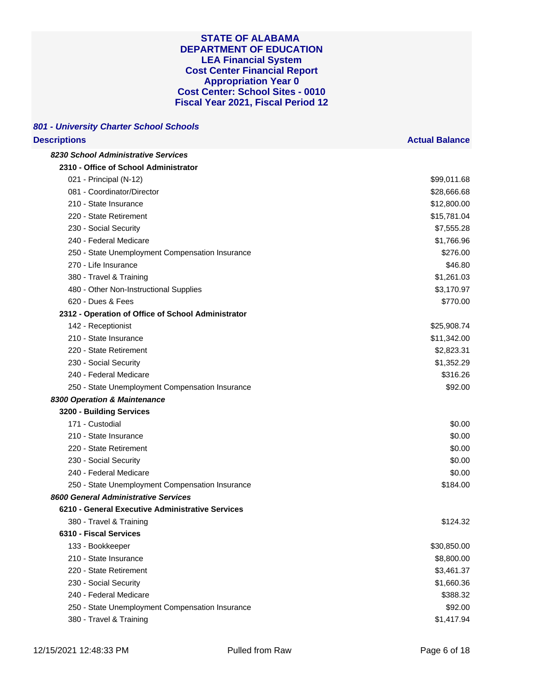## **801 - University Charter School Schools Descriptions Actual Balance**

| 8230 School Administrative Services                |             |
|----------------------------------------------------|-------------|
| 2310 - Office of School Administrator              |             |
| 021 - Principal (N-12)                             | \$99,011.68 |
| 081 - Coordinator/Director                         | \$28,666.68 |
| 210 - State Insurance                              | \$12,800.00 |
| 220 - State Retirement                             | \$15,781.04 |
| 230 - Social Security                              | \$7,555.28  |
| 240 - Federal Medicare                             | \$1,766.96  |
| 250 - State Unemployment Compensation Insurance    | \$276.00    |
| 270 - Life Insurance                               | \$46.80     |
| 380 - Travel & Training                            | \$1,261.03  |
| 480 - Other Non-Instructional Supplies             | \$3,170.97  |
| 620 - Dues & Fees                                  | \$770.00    |
| 2312 - Operation of Office of School Administrator |             |
| 142 - Receptionist                                 | \$25,908.74 |
| 210 - State Insurance                              | \$11,342.00 |
| 220 - State Retirement                             | \$2,823.31  |
| 230 - Social Security                              | \$1,352.29  |
| 240 - Federal Medicare                             | \$316.26    |
| 250 - State Unemployment Compensation Insurance    | \$92.00     |
| 8300 Operation & Maintenance                       |             |
| 3200 - Building Services                           |             |
| 171 - Custodial                                    | \$0.00      |
| 210 - State Insurance                              | \$0.00      |
| 220 - State Retirement                             | \$0.00      |
| 230 - Social Security                              | \$0.00      |
| 240 - Federal Medicare                             | \$0.00      |
| 250 - State Unemployment Compensation Insurance    | \$184.00    |
| 8600 General Administrative Services               |             |
| 6210 - General Executive Administrative Services   |             |
| 380 - Travel & Training                            | \$124.32    |
| 6310 - Fiscal Services                             |             |
| 133 - Bookkeeper                                   | \$30,850.00 |
| 210 - State Insurance                              | \$8,800.00  |
| 220 - State Retirement                             | \$3,461.37  |
| 230 - Social Security                              | \$1,660.36  |
| 240 - Federal Medicare                             | \$388.32    |
| 250 - State Unemployment Compensation Insurance    | \$92.00     |
| 380 - Travel & Training                            | \$1,417.94  |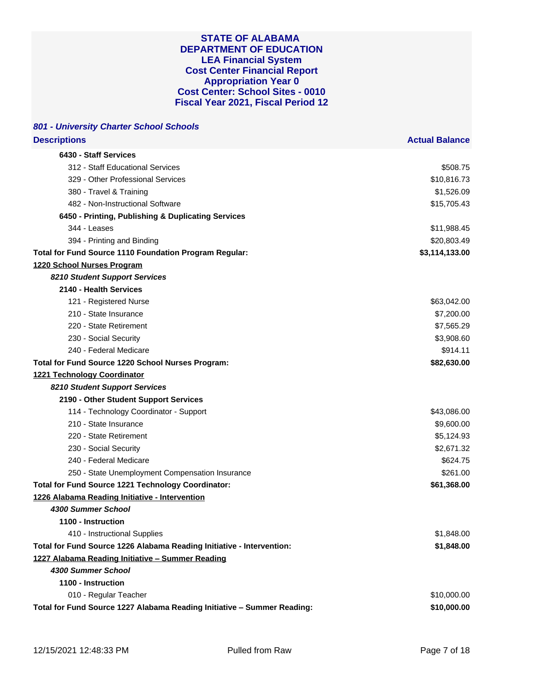| 801 - University Charter School Schools                                 |                       |
|-------------------------------------------------------------------------|-----------------------|
| <b>Descriptions</b>                                                     | <b>Actual Balance</b> |
| 6430 - Staff Services                                                   |                       |
| 312 - Staff Educational Services                                        | \$508.75              |
| 329 - Other Professional Services                                       | \$10,816.73           |
| 380 - Travel & Training                                                 | \$1,526.09            |
| 482 - Non-Instructional Software                                        | \$15,705.43           |
| 6450 - Printing, Publishing & Duplicating Services                      |                       |
| 344 - Leases                                                            | \$11,988.45           |
| 394 - Printing and Binding                                              | \$20,803.49           |
| Total for Fund Source 1110 Foundation Program Regular:                  | \$3,114,133.00        |
| 1220 School Nurses Program                                              |                       |
| 8210 Student Support Services                                           |                       |
| 2140 - Health Services                                                  |                       |
| 121 - Registered Nurse                                                  | \$63,042.00           |
| 210 - State Insurance                                                   | \$7,200.00            |
| 220 - State Retirement                                                  | \$7,565.29            |
| 230 - Social Security                                                   | \$3,908.60            |
| 240 - Federal Medicare                                                  | \$914.11              |
| Total for Fund Source 1220 School Nurses Program:                       | \$82,630.00           |
| 1221 Technology Coordinator                                             |                       |
| 8210 Student Support Services                                           |                       |
| 2190 - Other Student Support Services                                   |                       |
| 114 - Technology Coordinator - Support                                  | \$43,086.00           |
| 210 - State Insurance                                                   | \$9,600.00            |
| 220 - State Retirement                                                  | \$5,124.93            |
| 230 - Social Security                                                   | \$2,671.32            |
| 240 - Federal Medicare                                                  | \$624.75              |
| 250 - State Unemployment Compensation Insurance                         | \$261.00              |
| Total for Fund Source 1221 Technology Coordinator:                      | \$61,368.00           |
| 1226 Alabama Reading Initiative - Intervention                          |                       |
| 4300 Summer School                                                      |                       |
| 1100 - Instruction                                                      |                       |
| 410 - Instructional Supplies                                            | \$1,848.00            |
| Total for Fund Source 1226 Alabama Reading Initiative - Intervention:   | \$1,848.00            |
| 1227 Alabama Reading Initiative - Summer Reading                        |                       |
| 4300 Summer School                                                      |                       |
| 1100 - Instruction                                                      |                       |
| 010 - Regular Teacher                                                   | \$10,000.00           |
| Total for Fund Source 1227 Alabama Reading Initiative - Summer Reading: | \$10,000.00           |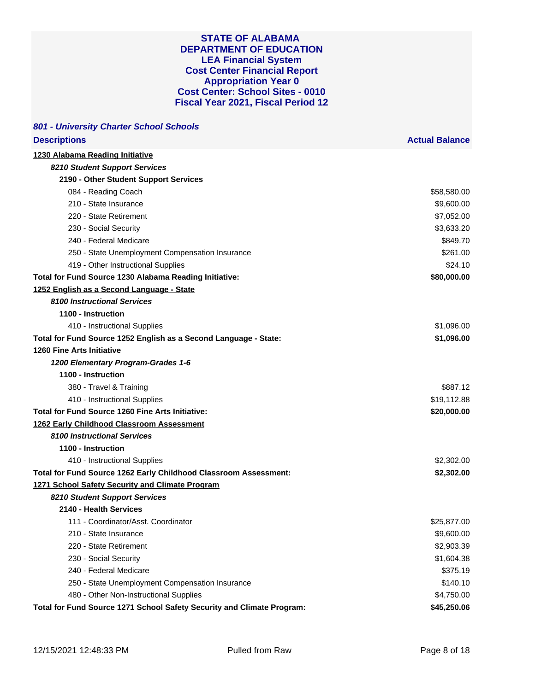| 801 - University Charter School Schools                                |                       |
|------------------------------------------------------------------------|-----------------------|
| <b>Descriptions</b>                                                    | <b>Actual Balance</b> |
| 1230 Alabama Reading Initiative                                        |                       |
| 8210 Student Support Services                                          |                       |
| 2190 - Other Student Support Services                                  |                       |
| 084 - Reading Coach                                                    | \$58,580.00           |
| 210 - State Insurance                                                  | \$9,600.00            |
| 220 - State Retirement                                                 | \$7,052.00            |
| 230 - Social Security                                                  | \$3,633.20            |
| 240 - Federal Medicare                                                 | \$849.70              |
| 250 - State Unemployment Compensation Insurance                        | \$261.00              |
| 419 - Other Instructional Supplies                                     | \$24.10               |
| Total for Fund Source 1230 Alabama Reading Initiative:                 | \$80,000.00           |
| 1252 English as a Second Language - State                              |                       |
| 8100 Instructional Services                                            |                       |
| 1100 - Instruction                                                     |                       |
| 410 - Instructional Supplies                                           | \$1,096.00            |
| Total for Fund Source 1252 English as a Second Language - State:       | \$1,096.00            |
| <b>1260 Fine Arts Initiative</b>                                       |                       |
| 1200 Elementary Program-Grades 1-6                                     |                       |
| 1100 - Instruction                                                     |                       |
| 380 - Travel & Training                                                | \$887.12              |
| 410 - Instructional Supplies                                           | \$19,112.88           |
| <b>Total for Fund Source 1260 Fine Arts Initiative:</b>                | \$20,000.00           |
| 1262 Early Childhood Classroom Assessment                              |                       |
| <b>8100 Instructional Services</b>                                     |                       |
| 1100 - Instruction                                                     |                       |
| 410 - Instructional Supplies                                           | \$2,302.00            |
| Total for Fund Source 1262 Early Childhood Classroom Assessment:       | \$2,302.00            |
| 1271 School Safety Security and Climate Program                        |                       |
| 8210 Student Support Services                                          |                       |
| 2140 - Health Services                                                 |                       |
| 111 - Coordinator/Asst. Coordinator                                    | \$25,877.00           |
| 210 - State Insurance                                                  | \$9,600.00            |
| 220 - State Retirement                                                 | \$2,903.39            |
| 230 - Social Security                                                  | \$1,604.38            |
| 240 - Federal Medicare                                                 | \$375.19              |
| 250 - State Unemployment Compensation Insurance                        | \$140.10              |
| 480 - Other Non-Instructional Supplies                                 | \$4,750.00            |
| Total for Fund Source 1271 School Safety Security and Climate Program: | \$45,250.06           |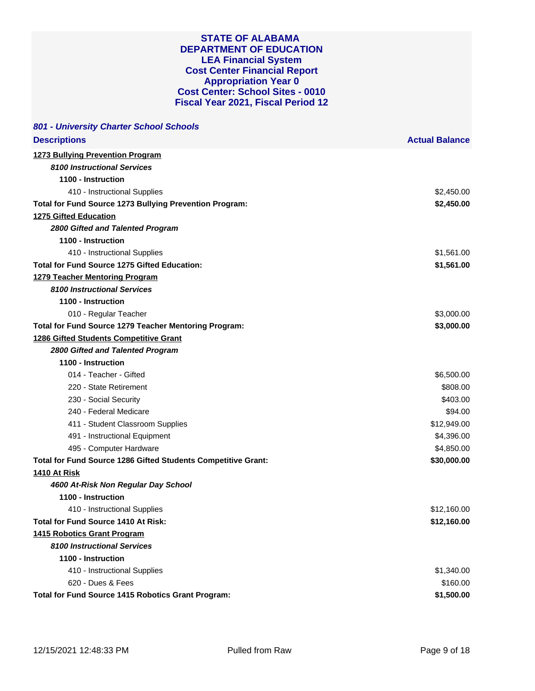| 801 - University Charter School Schools                       |                       |
|---------------------------------------------------------------|-----------------------|
| <b>Descriptions</b>                                           | <b>Actual Balance</b> |
| <b>1273 Bullying Prevention Program</b>                       |                       |
| <b>8100 Instructional Services</b>                            |                       |
| 1100 - Instruction                                            |                       |
| 410 - Instructional Supplies                                  | \$2,450.00            |
| Total for Fund Source 1273 Bullying Prevention Program:       | \$2,450.00            |
| <b>1275 Gifted Education</b>                                  |                       |
| 2800 Gifted and Talented Program                              |                       |
| 1100 - Instruction                                            |                       |
| 410 - Instructional Supplies                                  | \$1,561.00            |
| <b>Total for Fund Source 1275 Gifted Education:</b>           | \$1,561.00            |
| <b>1279 Teacher Mentoring Program</b>                         |                       |
| <b>8100 Instructional Services</b>                            |                       |
| 1100 - Instruction                                            |                       |
| 010 - Regular Teacher                                         | \$3,000.00            |
| Total for Fund Source 1279 Teacher Mentoring Program:         | \$3,000.00            |
| <b>1286 Gifted Students Competitive Grant</b>                 |                       |
| 2800 Gifted and Talented Program                              |                       |
| 1100 - Instruction                                            |                       |
| 014 - Teacher - Gifted                                        | \$6,500.00            |
| 220 - State Retirement                                        | \$808.00              |
| 230 - Social Security                                         | \$403.00              |
| 240 - Federal Medicare                                        | \$94.00               |
| 411 - Student Classroom Supplies                              | \$12,949.00           |
| 491 - Instructional Equipment                                 | \$4,396.00            |
| 495 - Computer Hardware                                       | \$4,850.00            |
| Total for Fund Source 1286 Gifted Students Competitive Grant: | \$30,000.00           |
| <b>1410 At Risk</b>                                           |                       |
| 4600 At-Risk Non Regular Day School                           |                       |
| 1100 - Instruction                                            |                       |
| 410 - Instructional Supplies                                  | \$12,160.00           |
| <b>Total for Fund Source 1410 At Risk:</b>                    | \$12,160.00           |
| <b>1415 Robotics Grant Program</b>                            |                       |
| 8100 Instructional Services                                   |                       |
| 1100 - Instruction                                            |                       |
| 410 - Instructional Supplies                                  | \$1,340.00            |
| 620 - Dues & Fees                                             | \$160.00              |
| Total for Fund Source 1415 Robotics Grant Program:            | \$1,500.00            |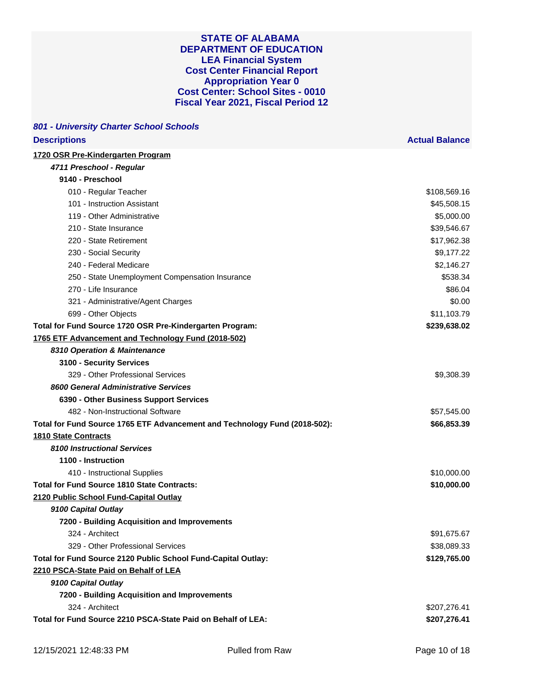| <b>Descriptions</b>                                                        | <b>Actual Balance</b> |
|----------------------------------------------------------------------------|-----------------------|
| 1720 OSR Pre-Kindergarten Program                                          |                       |
| 4711 Preschool - Regular                                                   |                       |
| 9140 - Preschool                                                           |                       |
| 010 - Regular Teacher                                                      | \$108,569.16          |
| 101 - Instruction Assistant                                                | \$45,508.15           |
| 119 - Other Administrative                                                 | \$5,000.00            |
| 210 - State Insurance                                                      | \$39,546.67           |
| 220 - State Retirement                                                     | \$17,962.38           |
| 230 - Social Security                                                      | \$9,177.22            |
| 240 - Federal Medicare                                                     | \$2,146.27            |
| 250 - State Unemployment Compensation Insurance                            | \$538.34              |
| 270 - Life Insurance                                                       | \$86.04               |
| 321 - Administrative/Agent Charges                                         | \$0.00                |
| 699 - Other Objects                                                        | \$11,103.79           |
| Total for Fund Source 1720 OSR Pre-Kindergarten Program:                   | \$239,638.02          |
| 1765 ETF Advancement and Technology Fund (2018-502)                        |                       |
| 8310 Operation & Maintenance                                               |                       |
| 3100 - Security Services                                                   |                       |
| 329 - Other Professional Services                                          | \$9,308.39            |
| 8600 General Administrative Services                                       |                       |
| 6390 - Other Business Support Services                                     |                       |
| 482 - Non-Instructional Software                                           | \$57,545.00           |
| Total for Fund Source 1765 ETF Advancement and Technology Fund (2018-502): | \$66,853.39           |
| <b>1810 State Contracts</b>                                                |                       |
| 8100 Instructional Services                                                |                       |
| 1100 - Instruction                                                         |                       |
| 410 - Instructional Supplies                                               | \$10,000.00           |
| <b>Total for Fund Source 1810 State Contracts:</b>                         | \$10,000.00           |
| 2120 Public School Fund-Capital Outlay                                     |                       |
| 9100 Capital Outlay                                                        |                       |
| 7200 - Building Acquisition and Improvements                               |                       |
| 324 - Architect                                                            | \$91,675.67           |
| 329 - Other Professional Services                                          | \$38,089.33           |
| Total for Fund Source 2120 Public School Fund-Capital Outlay:              | \$129,765.00          |
| 2210 PSCA-State Paid on Behalf of LEA                                      |                       |
| 9100 Capital Outlay                                                        |                       |
| 7200 - Building Acquisition and Improvements                               |                       |
| 324 - Architect                                                            | \$207,276.41          |
| Total for Fund Source 2210 PSCA-State Paid on Behalf of LEA:               | \$207,276.41          |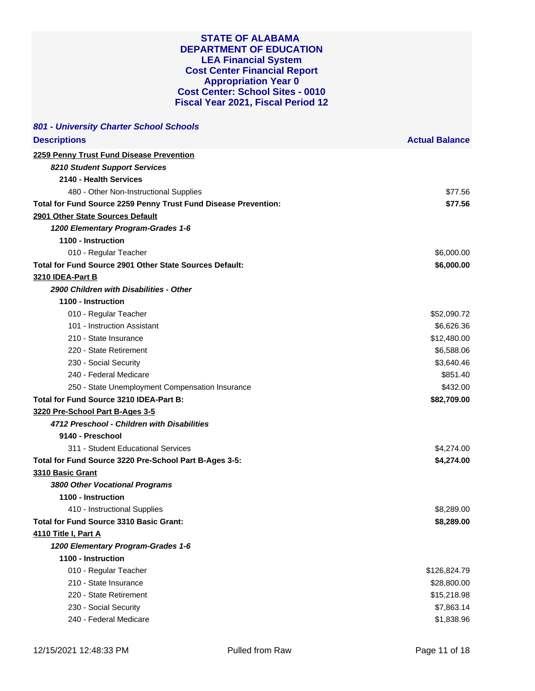| 801 - University Charter School Schools                         |                       |
|-----------------------------------------------------------------|-----------------------|
| <b>Descriptions</b>                                             | <b>Actual Balance</b> |
| 2259 Penny Trust Fund Disease Prevention                        |                       |
| 8210 Student Support Services                                   |                       |
| 2140 - Health Services                                          |                       |
| 480 - Other Non-Instructional Supplies                          | \$77.56               |
| Total for Fund Source 2259 Penny Trust Fund Disease Prevention: | \$77.56               |
| 2901 Other State Sources Default                                |                       |
| 1200 Elementary Program-Grades 1-6                              |                       |
| 1100 - Instruction                                              |                       |
| 010 - Regular Teacher                                           | \$6,000.00            |
| Total for Fund Source 2901 Other State Sources Default:         | \$6,000.00            |
| 3210 IDEA-Part B                                                |                       |
| 2900 Children with Disabilities - Other                         |                       |
| 1100 - Instruction                                              |                       |
| 010 - Regular Teacher                                           | \$52,090.72           |
| 101 - Instruction Assistant                                     | \$6,626.36            |
| 210 - State Insurance                                           | \$12,480.00           |
| 220 - State Retirement                                          | \$6,588.06            |
| 230 - Social Security                                           | \$3,640.46            |
| 240 - Federal Medicare                                          | \$851.40              |
| 250 - State Unemployment Compensation Insurance                 | \$432.00              |
| Total for Fund Source 3210 IDEA-Part B:                         | \$82,709.00           |
| 3220 Pre-School Part B-Ages 3-5                                 |                       |
| 4712 Preschool - Children with Disabilities                     |                       |
| 9140 - Preschool                                                |                       |
| 311 - Student Educational Services                              | \$4,274.00            |
| Total for Fund Source 3220 Pre-School Part B-Ages 3-5:          | \$4,274.00            |
| 3310 Basic Grant                                                |                       |
| 3800 Other Vocational Programs                                  |                       |
| 1100 - Instruction                                              |                       |
| 410 - Instructional Supplies                                    | \$8.289.00            |
| <b>Total for Fund Source 3310 Basic Grant:</b>                  | \$8,289.00            |
| <b>4110 Title I, Part A</b>                                     |                       |
| 1200 Elementary Program-Grades 1-6                              |                       |
| 1100 - Instruction                                              |                       |
| 010 - Regular Teacher                                           | \$126,824.79          |
| 210 - State Insurance                                           | \$28,800.00           |
| 220 - State Retirement                                          | \$15,218.98           |
| 230 - Social Security                                           | \$7,863.14            |
| 240 - Federal Medicare                                          | \$1,838.96            |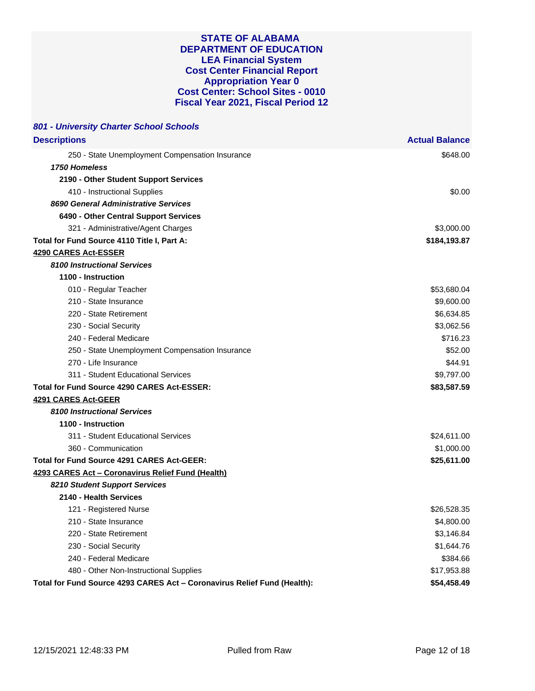| 801 - University Charter School Schools                                  |                       |
|--------------------------------------------------------------------------|-----------------------|
| <b>Descriptions</b>                                                      | <b>Actual Balance</b> |
| 250 - State Unemployment Compensation Insurance                          | \$648.00              |
| 1750 Homeless                                                            |                       |
| 2190 - Other Student Support Services                                    |                       |
| 410 - Instructional Supplies                                             | \$0.00                |
| 8690 General Administrative Services                                     |                       |
| 6490 - Other Central Support Services                                    |                       |
| 321 - Administrative/Agent Charges                                       | \$3,000.00            |
| Total for Fund Source 4110 Title I, Part A:                              | \$184,193.87          |
| 4290 CARES Act-ESSER                                                     |                       |
| <b>8100 Instructional Services</b>                                       |                       |
| 1100 - Instruction                                                       |                       |
| 010 - Regular Teacher                                                    | \$53,680.04           |
| 210 - State Insurance                                                    | \$9,600.00            |
| 220 - State Retirement                                                   | \$6,634.85            |
| 230 - Social Security                                                    | \$3,062.56            |
| 240 - Federal Medicare                                                   | \$716.23              |
| 250 - State Unemployment Compensation Insurance                          | \$52.00               |
| 270 - Life Insurance                                                     | \$44.91               |
| 311 - Student Educational Services                                       | \$9,797.00            |
| Total for Fund Source 4290 CARES Act-ESSER:                              | \$83,587.59           |
| 4291 CARES Act-GEER                                                      |                       |
| <b>8100 Instructional Services</b>                                       |                       |
| 1100 - Instruction                                                       |                       |
| 311 - Student Educational Services                                       | \$24,611.00           |
| 360 - Communication                                                      | \$1,000.00            |
| <b>Total for Fund Source 4291 CARES Act-GEER:</b>                        | \$25,611.00           |
| 4293 CARES Act - Coronavirus Relief Fund (Health)                        |                       |
| 8210 Student Support Services                                            |                       |
| 2140 - Health Services                                                   |                       |
| 121 - Registered Nurse                                                   | \$26,528.35           |
| 210 - State Insurance                                                    | \$4,800.00            |
| 220 - State Retirement                                                   | \$3,146.84            |
| 230 - Social Security                                                    | \$1,644.76            |
| 240 - Federal Medicare                                                   | \$384.66              |
| 480 - Other Non-Instructional Supplies                                   | \$17,953.88           |
| Total for Fund Source 4293 CARES Act - Coronavirus Relief Fund (Health): | \$54,458.49           |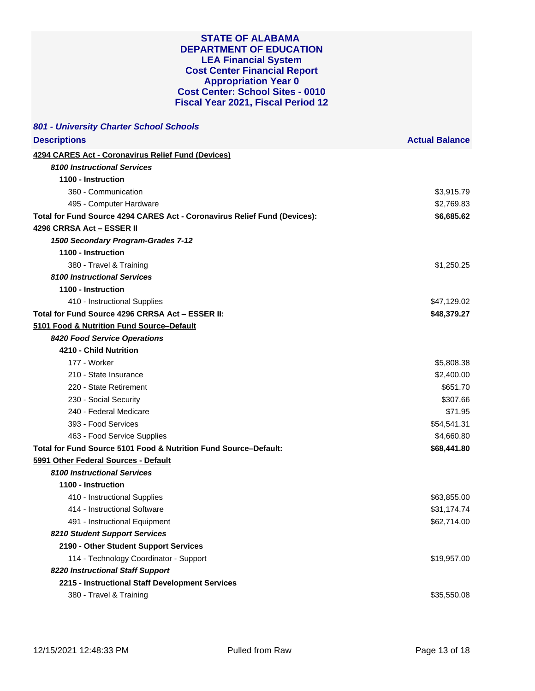| 801 - University Charter School Schools                                   |                       |
|---------------------------------------------------------------------------|-----------------------|
| <b>Descriptions</b>                                                       | <b>Actual Balance</b> |
| 4294 CARES Act - Coronavirus Relief Fund (Devices)                        |                       |
| <b>8100 Instructional Services</b>                                        |                       |
| 1100 - Instruction                                                        |                       |
| 360 - Communication                                                       | \$3,915.79            |
| 495 - Computer Hardware                                                   | \$2,769.83            |
| Total for Fund Source 4294 CARES Act - Coronavirus Relief Fund (Devices): | \$6,685.62            |
| 4296 CRRSA Act - ESSER II                                                 |                       |
| 1500 Secondary Program-Grades 7-12                                        |                       |
| 1100 - Instruction                                                        |                       |
| 380 - Travel & Training                                                   | \$1,250.25            |
| <b>8100 Instructional Services</b>                                        |                       |
| 1100 - Instruction                                                        |                       |
| 410 - Instructional Supplies                                              | \$47,129.02           |
| Total for Fund Source 4296 CRRSA Act - ESSER II:                          | \$48,379.27           |
| 5101 Food & Nutrition Fund Source-Default                                 |                       |
| 8420 Food Service Operations                                              |                       |
| 4210 - Child Nutrition                                                    |                       |
| 177 - Worker                                                              | \$5,808.38            |
| 210 - State Insurance                                                     | \$2,400.00            |
| 220 - State Retirement                                                    | \$651.70              |
| 230 - Social Security                                                     | \$307.66              |
| 240 - Federal Medicare                                                    | \$71.95               |
| 393 - Food Services                                                       | \$54,541.31           |
| 463 - Food Service Supplies                                               | \$4,660.80            |
| Total for Fund Source 5101 Food & Nutrition Fund Source–Default:          | \$68,441.80           |
| 5991 Other Federal Sources - Default                                      |                       |
| 8100 Instructional Services                                               |                       |
| 1100 - Instruction                                                        |                       |
| 410 - Instructional Supplies                                              | \$63,855.00           |
| 414 - Instructional Software                                              | \$31,174.74           |
| 491 - Instructional Equipment                                             | \$62,714.00           |
| 8210 Student Support Services                                             |                       |
| 2190 - Other Student Support Services                                     |                       |
| 114 - Technology Coordinator - Support                                    | \$19,957.00           |
| 8220 Instructional Staff Support                                          |                       |
| 2215 - Instructional Staff Development Services                           |                       |
| 380 - Travel & Training                                                   | \$35,550.08           |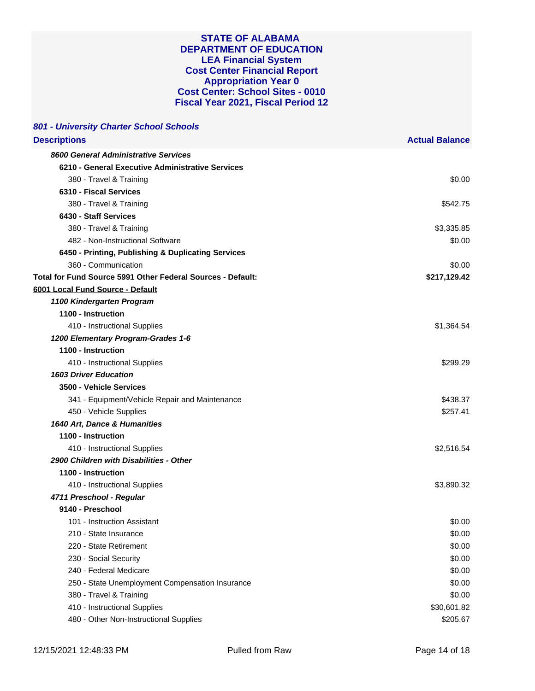| 801 - University Charter School Schools                     |                       |
|-------------------------------------------------------------|-----------------------|
| <b>Descriptions</b>                                         | <b>Actual Balance</b> |
| 8600 General Administrative Services                        |                       |
| 6210 - General Executive Administrative Services            |                       |
| 380 - Travel & Training                                     | \$0.00                |
| 6310 - Fiscal Services                                      |                       |
| 380 - Travel & Training                                     | \$542.75              |
| 6430 - Staff Services                                       |                       |
| 380 - Travel & Training                                     | \$3,335.85            |
| 482 - Non-Instructional Software                            | \$0.00                |
| 6450 - Printing, Publishing & Duplicating Services          |                       |
| 360 - Communication                                         | \$0.00                |
| Total for Fund Source 5991 Other Federal Sources - Default: | \$217,129.42          |
| 6001 Local Fund Source - Default                            |                       |
| 1100 Kindergarten Program                                   |                       |
| 1100 - Instruction                                          |                       |
| 410 - Instructional Supplies                                | \$1,364.54            |
| 1200 Elementary Program-Grades 1-6                          |                       |
| 1100 - Instruction                                          |                       |
| 410 - Instructional Supplies                                | \$299.29              |
| <b>1603 Driver Education</b>                                |                       |
| 3500 - Vehicle Services                                     |                       |
| 341 - Equipment/Vehicle Repair and Maintenance              | \$438.37              |
| 450 - Vehicle Supplies                                      | \$257.41              |
| 1640 Art, Dance & Humanities                                |                       |
| 1100 - Instruction                                          |                       |
| 410 - Instructional Supplies                                | \$2,516.54            |
| 2900 Children with Disabilities - Other                     |                       |
| 1100 - Instruction                                          |                       |
| 410 - Instructional Supplies                                | \$3,890.32            |
| 4711 Preschool - Regular                                    |                       |
| 9140 - Preschool                                            |                       |
| 101 - Instruction Assistant                                 | \$0.00                |
| 210 - State Insurance                                       | \$0.00                |
| 220 - State Retirement                                      | \$0.00                |
| 230 - Social Security                                       | \$0.00                |
| 240 - Federal Medicare                                      | \$0.00                |
| 250 - State Unemployment Compensation Insurance             | \$0.00                |
| 380 - Travel & Training                                     | \$0.00                |
| 410 - Instructional Supplies                                | \$30,601.82           |
| 480 - Other Non-Instructional Supplies                      | \$205.67              |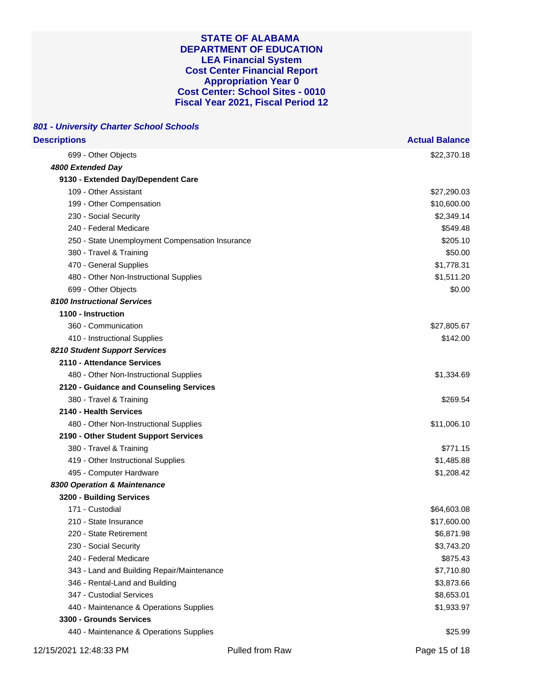| 801 - University Charter School Schools         |                       |
|-------------------------------------------------|-----------------------|
| <b>Descriptions</b>                             | <b>Actual Balance</b> |
| 699 - Other Objects                             | \$22,370.18           |
| 4800 Extended Day                               |                       |
| 9130 - Extended Day/Dependent Care              |                       |
| 109 - Other Assistant                           | \$27,290.03           |
| 199 - Other Compensation                        | \$10,600.00           |
| 230 - Social Security                           | \$2,349.14            |
| 240 - Federal Medicare                          | \$549.48              |
| 250 - State Unemployment Compensation Insurance | \$205.10              |
| 380 - Travel & Training                         | \$50.00               |
| 470 - General Supplies                          | \$1,778.31            |
| 480 - Other Non-Instructional Supplies          | \$1,511.20            |
| 699 - Other Objects                             | \$0.00                |
| <b>8100 Instructional Services</b>              |                       |
| 1100 - Instruction                              |                       |
| 360 - Communication                             | \$27,805.67           |
| 410 - Instructional Supplies                    | \$142.00              |
| 8210 Student Support Services                   |                       |
| 2110 - Attendance Services                      |                       |
| 480 - Other Non-Instructional Supplies          | \$1,334.69            |
| 2120 - Guidance and Counseling Services         |                       |
| 380 - Travel & Training                         | \$269.54              |
| 2140 - Health Services                          |                       |
| 480 - Other Non-Instructional Supplies          | \$11,006.10           |
| 2190 - Other Student Support Services           |                       |
| 380 - Travel & Training                         | \$771.15              |
| 419 - Other Instructional Supplies              | \$1,485.88            |
| 495 - Computer Hardware                         | \$1,208.42            |
| 8300 Operation & Maintenance                    |                       |
| 3200 - Building Services                        |                       |
| 171 - Custodial                                 | \$64,603.08           |
| 210 - State Insurance                           | \$17,600.00           |
| 220 - State Retirement                          | \$6,871.98            |
| 230 - Social Security                           | \$3,743.20            |
| 240 - Federal Medicare                          | \$875.43              |
| 343 - Land and Building Repair/Maintenance      | \$7,710.80            |
| 346 - Rental-Land and Building                  | \$3,873.66            |
| 347 - Custodial Services                        | \$8,653.01            |
| 440 - Maintenance & Operations Supplies         | \$1,933.97            |
| 3300 - Grounds Services                         |                       |
| 440 - Maintenance & Operations Supplies         | \$25.99               |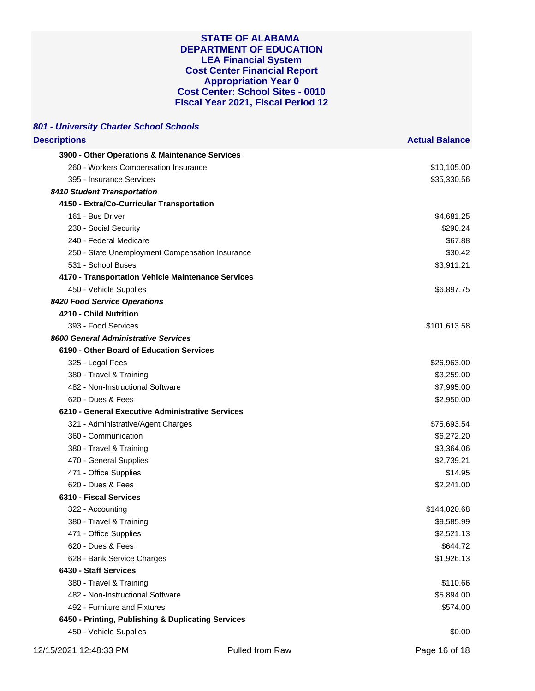| 801 - University Charter School Schools            |                 |                       |
|----------------------------------------------------|-----------------|-----------------------|
| <b>Descriptions</b>                                |                 | <b>Actual Balance</b> |
| 3900 - Other Operations & Maintenance Services     |                 |                       |
| 260 - Workers Compensation Insurance               |                 | \$10,105.00           |
| 395 - Insurance Services                           |                 | \$35,330.56           |
| 8410 Student Transportation                        |                 |                       |
| 4150 - Extra/Co-Curricular Transportation          |                 |                       |
| 161 - Bus Driver                                   |                 | \$4,681.25            |
| 230 - Social Security                              |                 | \$290.24              |
| 240 - Federal Medicare                             |                 | \$67.88               |
| 250 - State Unemployment Compensation Insurance    |                 | \$30.42               |
| 531 - School Buses                                 |                 | \$3,911.21            |
| 4170 - Transportation Vehicle Maintenance Services |                 |                       |
| 450 - Vehicle Supplies                             |                 | \$6,897.75            |
| 8420 Food Service Operations                       |                 |                       |
| 4210 - Child Nutrition                             |                 |                       |
| 393 - Food Services                                |                 | \$101,613.58          |
| 8600 General Administrative Services               |                 |                       |
| 6190 - Other Board of Education Services           |                 |                       |
| 325 - Legal Fees                                   |                 | \$26,963.00           |
| 380 - Travel & Training                            |                 | \$3,259.00            |
| 482 - Non-Instructional Software                   |                 | \$7,995.00            |
| 620 - Dues & Fees                                  |                 | \$2,950.00            |
| 6210 - General Executive Administrative Services   |                 |                       |
| 321 - Administrative/Agent Charges                 |                 | \$75,693.54           |
| 360 - Communication                                |                 | \$6,272.20            |
| 380 - Travel & Training                            |                 | \$3,364.06            |
| 470 - General Supplies                             |                 | \$2,739.21            |
| 471 - Office Supplies                              |                 | \$14.95               |
| 620 - Dues & Fees                                  |                 | \$2,241.00            |
| 6310 - Fiscal Services                             |                 |                       |
| 322 - Accounting                                   |                 | \$144,020.68          |
| 380 - Travel & Training                            |                 | \$9,585.99            |
| 471 - Office Supplies                              |                 | \$2,521.13            |
| 620 - Dues & Fees                                  |                 | \$644.72              |
| 628 - Bank Service Charges                         |                 | \$1,926.13            |
| 6430 - Staff Services                              |                 |                       |
| 380 - Travel & Training                            |                 | \$110.66              |
| 482 - Non-Instructional Software                   |                 | \$5,894.00            |
| 492 - Furniture and Fixtures                       |                 | \$574.00              |
| 6450 - Printing, Publishing & Duplicating Services |                 |                       |
| 450 - Vehicle Supplies                             |                 | \$0.00                |
| 12/15/2021 12:48:33 PM                             | Pulled from Raw | Page 16 of 18         |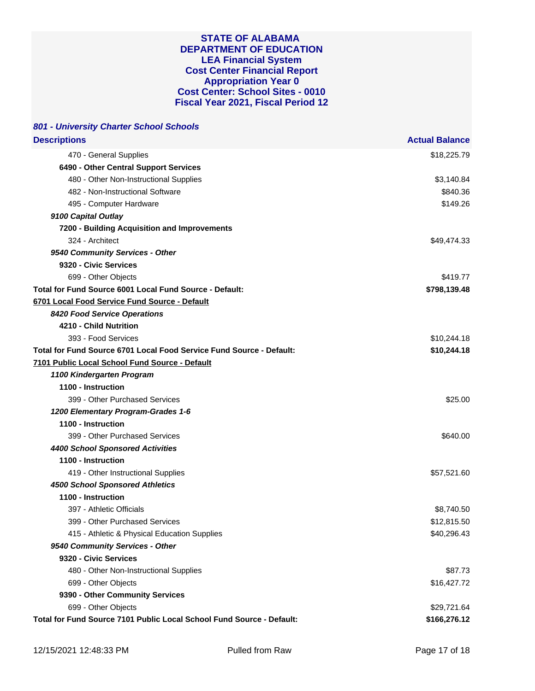| 801 - University Charter School Schools                               |                       |
|-----------------------------------------------------------------------|-----------------------|
| <b>Descriptions</b>                                                   | <b>Actual Balance</b> |
| 470 - General Supplies                                                | \$18,225.79           |
| 6490 - Other Central Support Services                                 |                       |
| 480 - Other Non-Instructional Supplies                                | \$3,140.84            |
| 482 - Non-Instructional Software                                      | \$840.36              |
| 495 - Computer Hardware                                               | \$149.26              |
| 9100 Capital Outlay                                                   |                       |
| 7200 - Building Acquisition and Improvements                          |                       |
| 324 - Architect                                                       | \$49,474.33           |
| 9540 Community Services - Other                                       |                       |
| 9320 - Civic Services                                                 |                       |
| 699 - Other Objects                                                   | \$419.77              |
| Total for Fund Source 6001 Local Fund Source - Default:               | \$798,139.48          |
| 6701 Local Food Service Fund Source - Default                         |                       |
| 8420 Food Service Operations                                          |                       |
| 4210 - Child Nutrition                                                |                       |
| 393 - Food Services                                                   | \$10,244.18           |
| Total for Fund Source 6701 Local Food Service Fund Source - Default:  | \$10,244.18           |
| 7101 Public Local School Fund Source - Default                        |                       |
| 1100 Kindergarten Program                                             |                       |
| 1100 - Instruction                                                    |                       |
| 399 - Other Purchased Services                                        | \$25.00               |
| 1200 Elementary Program-Grades 1-6                                    |                       |
| 1100 - Instruction                                                    |                       |
| 399 - Other Purchased Services                                        | \$640.00              |
| <b>4400 School Sponsored Activities</b>                               |                       |
| 1100 - Instruction                                                    |                       |
| 419 - Other Instructional Supplies                                    | \$57,521.60           |
| <b>4500 School Sponsored Athletics</b>                                |                       |
| 1100 - Instruction                                                    |                       |
| 397 - Athletic Officials                                              | \$8,740.50            |
| 399 - Other Purchased Services                                        | \$12,815.50           |
| 415 - Athletic & Physical Education Supplies                          | \$40,296.43           |
| 9540 Community Services - Other                                       |                       |
| 9320 - Civic Services                                                 |                       |
| 480 - Other Non-Instructional Supplies                                | \$87.73               |
| 699 - Other Objects                                                   | \$16,427.72           |
| 9390 - Other Community Services                                       |                       |
| 699 - Other Objects                                                   | \$29,721.64           |
| Total for Fund Source 7101 Public Local School Fund Source - Default: | \$166,276.12          |